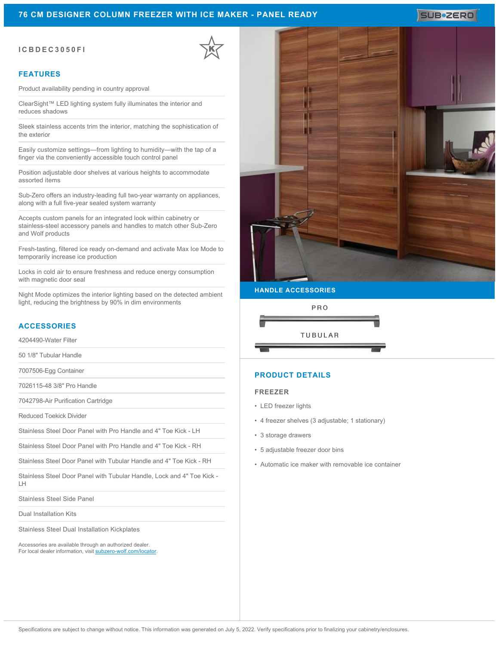## **76 CM DESIGNER COLUMN FREEZER WITH ICE MAKER - PANEL READY**

### **ICBDEC3050FI**

### **FEATURES**

Product availability pending in country approval

ClearSight™ LED lighting system fully illuminates the interior and reduces shadows

Sleek stainless accents trim the interior, matching the sophistication of the exterior

Easily customize settings—from lighting to humidity—with the tap of a finger via the conveniently accessible touch control panel

Position adjustable door shelves at various heights to accommodate assorted items

Sub-Zero offers an industry-leading full two-year warranty on appliances, along with a full five-year sealed system warranty

Accepts custom panels for an integrated look within cabinetry or stainless-steel accessory panels and handles to match other Sub-Zero and Wolf products

Fresh-tasting, filtered ice ready on-demand and activate Max Ice Mode to temporarily increase ice production

Locks in cold air to ensure freshness and reduce energy consumption with magnetic door seal

Night Mode optimizes the interior lighting based on the detected ambient light, reducing the brightness by 90% in dim environments

## **ACCESSORIES**

4204490-Water Filter

50 1/8" Tubular Handle

7007506-Egg Container

7026115-48 3/8" Pro Handle

7042798-Air Purification Cartridge

Reduced Toekick Divider

Stainless Steel Door Panel with Pro Handle and 4" Toe Kick - LH

Stainless Steel Door Panel with Pro Handle and 4" Toe Kick - RH

Stainless Steel Door Panel with Tubular Handle and 4" Toe Kick - RH

Stainless Steel Door Panel with Tubular Handle, Lock and 4" Toe Kick - LH

Stainless Steel Side Panel

Dual Installation Kits

Stainless Steel Dual Installation Kickplates

Accessories are available through an authorized dealer. For local dealer information, visit [subzero-wolf.com/locator.](http://www.subzero-wolf.com/locator)



### **HANDLE ACCESSORIES**



## **PRODUCT DETAILS**

#### **FREEZER**

- LED freezer lights
- 4 freezer shelves (3 adjustable; 1 stationary)
- 3 storage drawers
- 5 adjustable freezer door bins
- Automatic ice maker with removable ice container